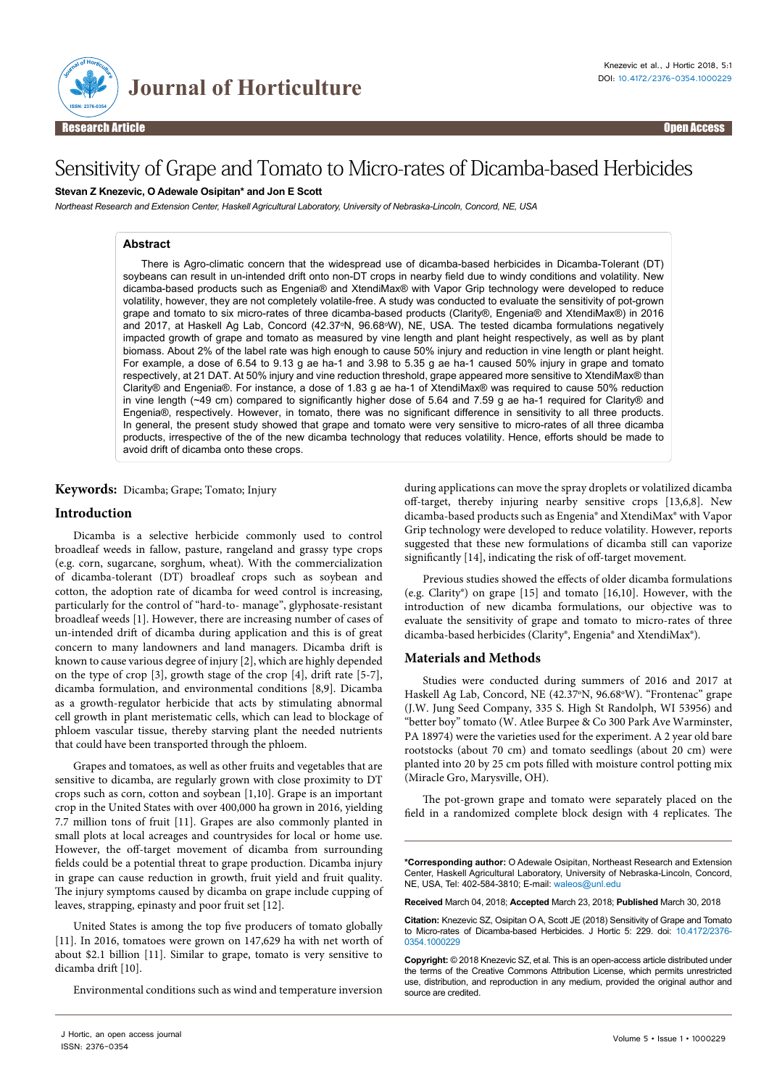

# Sensitivity of Grape and Tomato to Micro-rates of Dicamba-based Herbicides

**Stevan Z Knezevic, O Adewale Osipitan\* and Jon E Scott**

*Northeast Research and Extension Center, Haskell Agricultural Laboratory, University of Nebraska-Lincoln, Concord, NE, USA*

## **Abstract**

There is Agro-climatic concern that the widespread use of dicamba-based herbicides in Dicamba-Tolerant (DT) soybeans can result in un-intended drift onto non-DT crops in nearby field due to windy conditions and volatility. New dicamba-based products such as Engenia® and XtendiMax® with Vapor Grip technology were developed to reduce volatility, however, they are not completely volatile-free. A study was conducted to evaluate the sensitivity of pot-grown grape and tomato to six micro-rates of three dicamba-based products (Clarity®, Engenia® and XtendiMax®) in 2016 and 2017, at Haskell Ag Lab, Concord (42.37°N, 96.68°W), NE, USA. The tested dicamba formulations negatively impacted growth of grape and tomato as measured by vine length and plant height respectively, as well as by plant biomass. About 2% of the label rate was high enough to cause 50% injury and reduction in vine length or plant height. For example, a dose of 6.54 to 9.13 g ae ha-1 and 3.98 to 5.35 g ae ha-1 caused 50% injury in grape and tomato respectively, at 21 DAT. At 50% injury and vine reduction threshold, grape appeared more sensitive to XtendiMax® than Clarity® and Engenia®. For instance, a dose of 1.83 g ae ha-1 of XtendiMax® was required to cause 50% reduction in vine length (~49 cm) compared to significantly higher dose of 5.64 and 7.59 g ae ha-1 required for Clarity® and Engenia®, respectively. However, in tomato, there was no significant difference in sensitivity to all three products. In general, the present study showed that grape and tomato were very sensitive to micro-rates of all three dicamba products, irrespective of the of the new dicamba technology that reduces volatility. Hence, efforts should be made to avoid drift of dicamba onto these crops.

**Keywords:** Dicamba; Grape; Tomato; Injury

#### **Introduction**

Dicamba is a selective herbicide commonly used to control broadleaf weeds in fallow, pasture, rangeland and grassy type crops (e.g. corn, sugarcane, sorghum, wheat). With the commercialization of dicamba-tolerant (DT) broadleaf crops such as soybean and cotton, the adoption rate of dicamba for weed control is increasing, particularly for the control of "hard-to- manage", glyphosate-resistant broadleaf weeds [1]. However, there are increasing number of cases of un-intended drift of dicamba during application and this is of great concern to many landowners and land managers. Dicamba drift is known to cause various degree of injury [2], which are highly depended on the type of crop [3], growth stage of the crop [4], drift rate [5-7], dicamba formulation, and environmental conditions [8,9]. Dicamba as a growth-regulator herbicide that acts by stimulating abnormal cell growth in plant meristematic cells, which can lead to blockage of phloem vascular tissue, thereby starving plant the needed nutrients that could have been transported through the phloem.

Grapes and tomatoes, as well as other fruits and vegetables that are sensitive to dicamba, are regularly grown with close proximity to DT crops such as corn, cotton and soybean [1,10]. Grape is an important crop in the United States with over 400,000 ha grown in 2016, yielding 7.7 million tons of fruit [11]. Grapes are also commonly planted in small plots at local acreages and countrysides for local or home use. However, the off-target movement of dicamba from surrounding fields could be a potential threat to grape production. Dicamba injury in grape can cause reduction in growth, fruit yield and fruit quality. The injury symptoms caused by dicamba on grape include cupping of leaves, strapping, epinasty and poor fruit set [12].

United States is among the top five producers of tomato globally [11]. In 2016, tomatoes were grown on 147,629 ha with net worth of about \$2.1 billion [11]. Similar to grape, tomato is very sensitive to dicamba drift [10].

Environmental conditions such as wind and temperature inversion

during applications can move the spray droplets or volatilized dicamba off-target, thereby injuring nearby sensitive crops [13,6,8]. New dicamba-based products such as Engenia® and XtendiMax® with Vapor Grip technology were developed to reduce volatility. However, reports suggested that these new formulations of dicamba still can vaporize significantly [14], indicating the risk of off-target movement.

Previous studies showed the effects of older dicamba formulations (e.g. Clarity®) on grape [15] and tomato [16,10]. However, with the introduction of new dicamba formulations, our objective was to evaluate the sensitivity of grape and tomato to micro-rates of three dicamba-based herbicides (Clarity®, Engenia® and XtendiMax®).

#### **Materials and Methods**

Studies were conducted during summers of 2016 and 2017 at Haskell Ag Lab, Concord, NE (42.37°N, 96.68°W). "Frontenac" grape (J.W. Jung Seed Company, 335 S. High St Randolph, WI 53956) and "better boy" tomato (W. Atlee Burpee & Co 300 Park Ave Warminster, PA 18974) were the varieties used for the experiment. A 2 year old bare rootstocks (about 70 cm) and tomato seedlings (about 20 cm) were planted into 20 by 25 cm pots filled with moisture control potting mix (Miracle Gro, Marysville, OH).

The pot-grown grape and tomato were separately placed on the field in a randomized complete block design with 4 replicates. The

**\*Corresponding author:** O Adewale Osipitan, Northeast Research and Extension Center, Haskell Agricultural Laboratory, University of Nebraska-Lincoln, Concord, NE, USA, Tel: 402-584-3810; E-mail: waleos@unl.edu

**Received** March 04, 2018; **Accepted** March 23, 2018; **Published** March 30, 2018

**Citation:** Knezevic SZ, Osipitan O A, Scott JE (2018) Sensitivity of Grape and Tomato to Micro-rates of Dicamba-based Herbicides. J Hortic 5: 229. doi: 10.4172/2376- 0354.1000229

**Copyright:** © 2018 Knezevic SZ, et al. This is an open-access article distributed under the terms of the Creative Commons Attribution License, which permits unrestricted use, distribution, and reproduction in any medium, provided the original author and source are credited.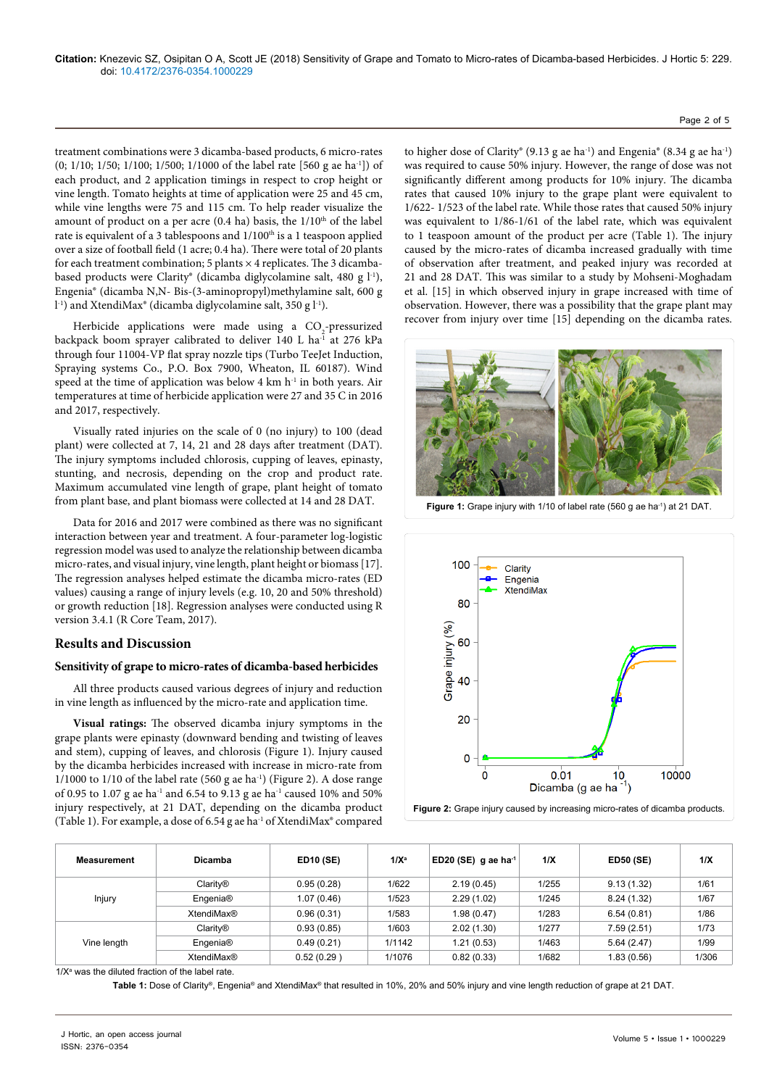treatment combinations were 3 dicamba-based products, 6 micro-rates (0; 1/10; 1/50; 1/100; 1/500; 1/1000 of the label rate [560 g ae ha-1]) of each product, and 2 application timings in respect to crop height or vine length. Tomato heights at time of application were 25 and 45 cm, while vine lengths were 75 and 115 cm. To help reader visualize the amount of product on a per acre  $(0.4 \text{ ha})$  basis, the  $1/10^{\text{th}}$  of the label rate is equivalent of a 3 tablespoons and  $1/100<sup>th</sup>$  is a 1 teaspoon applied over a size of football field (1 acre; 0.4 ha). There were total of 20 plants for each treatment combination; 5 plants  $\times$  4 replicates. The 3 dicambabased products were Clarity® (dicamba diglycolamine salt, 480 g l<sup>-1</sup>), Engenia® (dicamba N,N- Bis-(3-aminopropyl)methylamine salt, 600 g  $\rm l$ <sup>-1</sup>) and XtendiMax® (dicamba diglycolamine salt, 350 g  $\rm l$ <sup>-1</sup>).

Herbicide applications were made using a  $CO_2$ -pressurized backpack boom sprayer calibrated to deliver 140 L ha<sup>-1</sup> at 276 kPa through four 11004-VP flat spray nozzle tips (Turbo TeeJet Induction, Spraying systems Co., P.O. Box 7900, Wheaton, IL 60187). Wind speed at the time of application was below 4 km  $h^{-1}$  in both years. Air temperatures at time of herbicide application were 27 and 35 C in 2016 and 2017, respectively.

Visually rated injuries on the scale of 0 (no injury) to 100 (dead plant) were collected at 7, 14, 21 and 28 days after treatment (DAT). The injury symptoms included chlorosis, cupping of leaves, epinasty, stunting, and necrosis, depending on the crop and product rate. Maximum accumulated vine length of grape, plant height of tomato from plant base, and plant biomass were collected at 14 and 28 DAT.

Data for 2016 and 2017 were combined as there was no significant interaction between year and treatment. A four-parameter log-logistic regression model was used to analyze the relationship between dicamba micro-rates, and visual injury, vine length, plant height or biomass [17]. The regression analyses helped estimate the dicamba micro-rates (ED values) causing a range of injury levels (e.g. 10, 20 and 50% threshold) or growth reduction [18]. Regression analyses were conducted using R version 3.4.1 (R Core Team, 2017).

# **Results and Discussion**

## **Sensitivity of grape to micro-rates of dicamba-based herbicides**

All three products caused various degrees of injury and reduction in vine length as influenced by the micro-rate and application time.

**Visual ratings:** The observed dicamba injury symptoms in the grape plants were epinasty (downward bending and twisting of leaves and stem), cupping of leaves, and chlorosis (Figure 1). Injury caused by the dicamba herbicides increased with increase in micro-rate from  $1/1000$  to  $1/10$  of the label rate (560 g ae ha<sup>-1</sup>) (Figure 2). A dose range of 0.95 to 1.07 g ae ha<sup>-1</sup> and 6.54 to 9.13 g ae ha<sup>-1</sup> caused 10% and 50% injury respectively, at 21 DAT, depending on the dicamba product (Table 1). For example, a dose of 6.54 g ae ha-1 of XtendiMax® compared

to higher dose of Clarity® (9.13 g ae ha<sup>-1</sup>) and Engenia® (8.34 g ae ha<sup>-1</sup>) was required to cause 50% injury. However, the range of dose was not significantly different among products for 10% injury. The dicamba rates that caused 10% injury to the grape plant were equivalent to 1/622- 1/523 of the label rate. While those rates that caused 50% injury was equivalent to 1/86-1/61 of the label rate, which was equivalent to 1 teaspoon amount of the product per acre (Table 1). The injury caused by the micro-rates of dicamba increased gradually with time of observation after treatment, and peaked injury was recorded at 21 and 28 DAT. This was similar to a study by Mohseni-Moghadam et al. [15] in which observed injury in grape increased with time of observation. However, there was a possibility that the grape plant may recover from injury over time [15] depending on the dicamba rates.

Page 2 of 5



Figure 1: Grape injury with 1/10 of label rate (560 g ae ha<sup>-1</sup>) at 21 DAT.



**Figure 2:** Grape injury caused by increasing micro-rates of dicamba products.

| <b>Measurement</b> | <b>Dicamba</b>       | <b>ED10 (SE)</b> | 1/X <sup>a</sup> | ED20 (SE) g ae ha <sup>-1</sup> | 1/X                              | <b>ED50 (SE)</b> | 1/X   |
|--------------------|----------------------|------------------|------------------|---------------------------------|----------------------------------|------------------|-------|
|                    | Clarity®             | 0.95(0.28)       | 1/622            | 2.19(0.45)                      | 1/255                            | 9.13(1.32)       | 1/61  |
| Injury             | Engenia <sup>®</sup> | 1.07(0.46)       | 1/523            | 2.29(1.02)                      | 1/245                            | 8.24 (1.32)      | 1/67  |
|                    | <b>XtendiMax®</b>    | 0.96(0.31)       | 1/583            | 1.98 (0.47)                     | 1/283<br>1/277<br>1/463<br>1/682 | 6.54(0.81)       | 1/86  |
|                    | Clarity®             | 0.93(0.85)       | 1/603            | 2.02(1.30)                      |                                  | 7.59(2.51)       | 1/73  |
| Vine length        | Engenia®             | 0.49(0.21)       | 1/1142           | 1.21(0.53)                      |                                  | 5.64(2.47)       | 1/99  |
|                    | <b>XtendiMax®</b>    | 0.52(0.29)       | 1/1076           | 0.82(0.33)                      |                                  | 1.83 (0.56)      | 1/306 |

 $1/X<sup>a</sup>$  was the diluted fraction of the label rate.

**Table 1:** Dose of Clarity®, Engenia® and XtendiMax® that resulted in 10%, 20% and 50% injury and vine length reduction of grape at 21 DAT.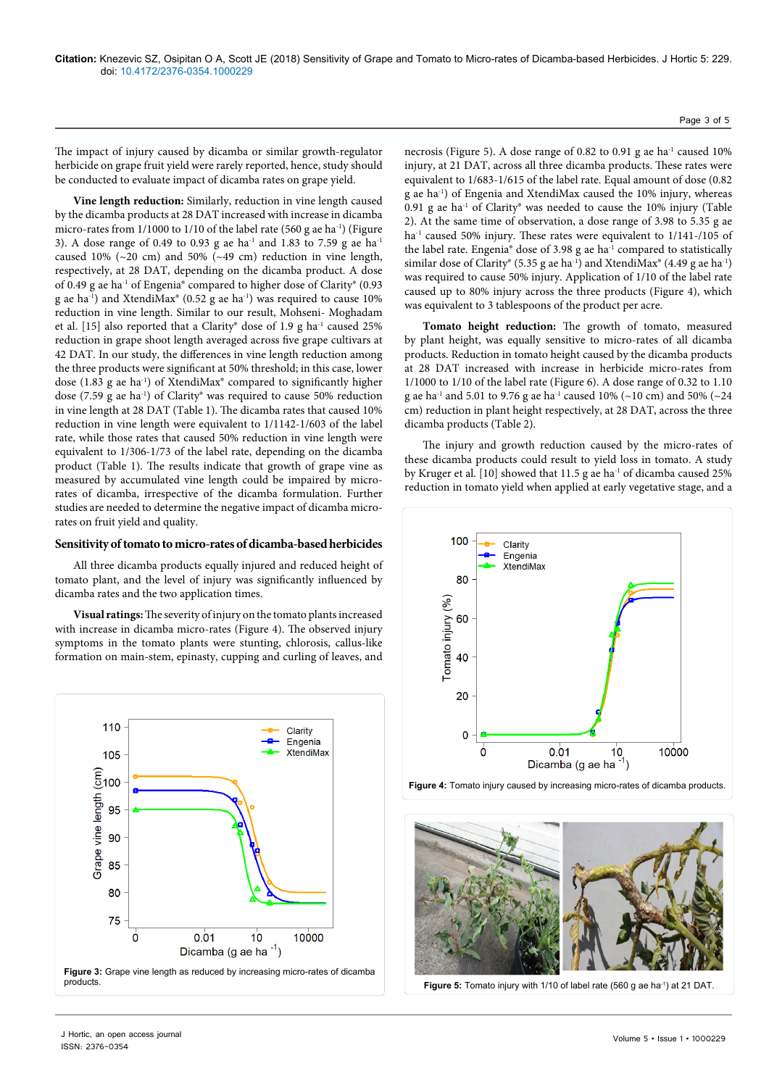The impact of injury caused by dicamba or similar growth-regulator herbicide on grape fruit yield were rarely reported, hence, study should be conducted to evaluate impact of dicamba rates on grape yield.

**Vine length reduction:** Similarly, reduction in vine length caused by the dicamba products at 28 DAT increased with increase in dicamba micro-rates from  $1/1000$  to  $1/10$  of the label rate (560 g ae ha<sup>-1</sup>) (Figure 3). A dose range of 0.49 to 0.93 g ae ha<sup>-1</sup> and 1.83 to 7.59 g ae ha<sup>-1</sup> caused 10% ( $\sim$ 20 cm) and 50% ( $\sim$ 49 cm) reduction in vine length, respectively, at 28 DAT, depending on the dicamba product. A dose of 0.49 g ae ha-1 of Engenia® compared to higher dose of Clarity® (0.93 g ae ha<sup>-1</sup>) and XtendiMax<sup>®</sup> (0.52 g ae ha<sup>-1</sup>) was required to cause 10% reduction in vine length. Similar to our result, Mohseni- Moghadam et al. [15] also reported that a Clarity® dose of 1.9 g ha<sup>-1</sup> caused 25% reduction in grape shoot length averaged across five grape cultivars at 42 DAT. In our study, the differences in vine length reduction among the three products were significant at 50% threshold; in this case, lower dose (1.83 g ae ha<sup>-1</sup>) of XtendiMax<sup>®</sup> compared to significantly higher dose (7.59 g ae ha<sup>-1</sup>) of Clarity® was required to cause 50% reduction in vine length at 28 DAT (Table 1). The dicamba rates that caused 10% reduction in vine length were equivalent to 1/1142-1/603 of the label rate, while those rates that caused 50% reduction in vine length were equivalent to 1/306-1/73 of the label rate, depending on the dicamba product (Table 1). The results indicate that growth of grape vine as measured by accumulated vine length could be impaired by microrates of dicamba, irrespective of the dicamba formulation. Further studies are needed to determine the negative impact of dicamba microrates on fruit yield and quality.

## **Sensitivity of tomato to micro-rates of dicamba-based herbicides**

All three dicamba products equally injured and reduced height of tomato plant, and the level of injury was significantly influenced by dicamba rates and the two application times.

**Visual ratings:** The severity of injury on the tomato plants increased with increase in dicamba micro-rates (Figure 4). The observed injury symptoms in the tomato plants were stunting, chlorosis, callus-like formation on main-stem, epinasty, cupping and curling of leaves, and



ISSN: 2376-0354

necrosis (Figure 5). A dose range of 0.82 to 0.91 g ae ha<sup>-1</sup> caused  $10\%$ injury, at 21 DAT, across all three dicamba products. These rates were equivalent to 1/683-1/615 of the label rate. Equal amount of dose (0.82 g ae ha-1) of Engenia and XtendiMax caused the 10% injury, whereas 0.91 g ae ha<sup>-1</sup> of Clarity<sup>®</sup> was needed to cause the 10% injury (Table 2). At the same time of observation, a dose range of 3.98 to 5.35 g ae ha<sup>-1</sup> caused 50% injury. These rates were equivalent to  $1/141$ -/105 of the label rate. Engenia® dose of 3.98 g ae ha-1 compared to statistically similar dose of Clarity® (5.35 g ae ha<sup>-1</sup>) and XtendiMax® (4.49 g ae ha<sup>-1</sup>) was required to cause 50% injury. Application of 1/10 of the label rate caused up to 80% injury across the three products (Figure 4), which was equivalent to 3 tablespoons of the product per acre.

**Tomato height reduction:** The growth of tomato, measured by plant height, was equally sensitive to micro-rates of all dicamba products. Reduction in tomato height caused by the dicamba products at 28 DAT increased with increase in herbicide micro-rates from 1/1000 to 1/10 of the label rate (Figure 6). A dose range of 0.32 to 1.10 g ae ha<sup>-1</sup> and 5.01 to 9.76 g ae ha<sup>-1</sup> caused 10% (~10 cm) and 50% (~24 cm) reduction in plant height respectively, at 28 DAT, across the three dicamba products (Table 2).

The injury and growth reduction caused by the micro-rates of these dicamba products could result to yield loss in tomato. A study by Kruger et al. [10] showed that 11.5 g ae ha<sup>-1</sup> of dicamba caused 25% reduction in tomato yield when applied at early vegetative stage, and a







**Figure 5:** Tomato injury with 1/10 of label rate (560 g ae ha<sup>-1</sup>) at 21 DAT.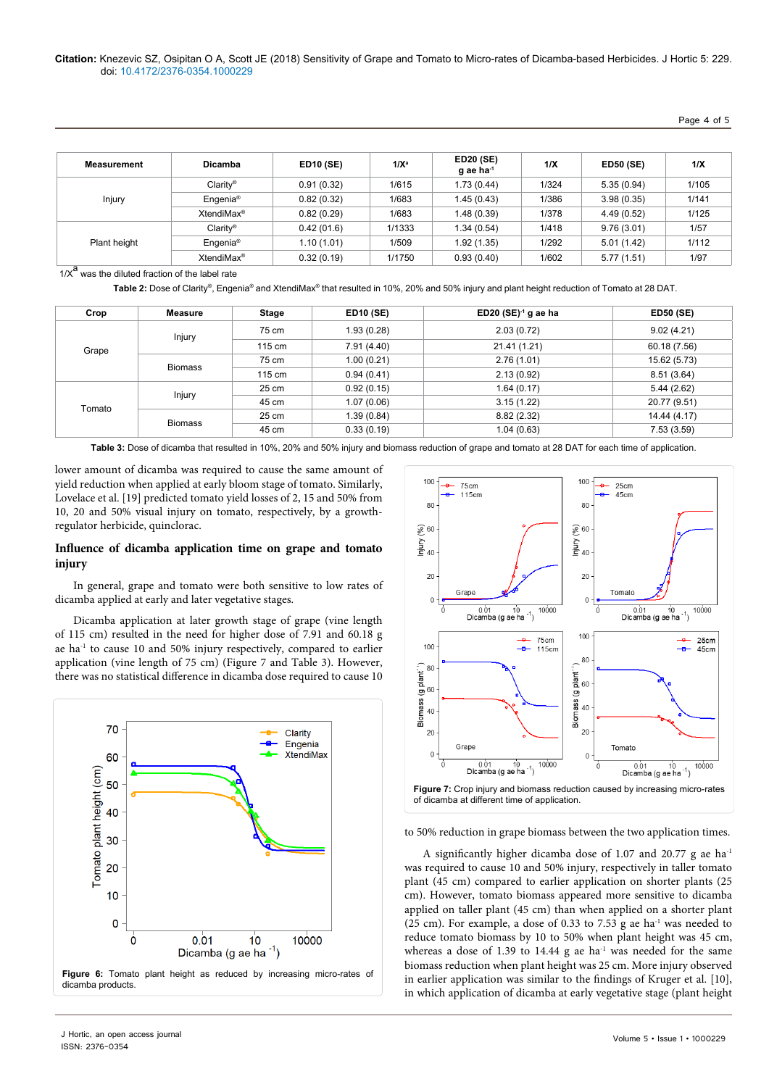Page 4 of 5

| Measurement  | <b>Dicamba</b>         | <b>ED10 (SE)</b> | 1/X <sup>a</sup> | <b>ED20 (SE)</b><br>$q$ ae ha $-1$ | 1/X        | <b>ED50 (SE)</b> | 1/X   |
|--------------|------------------------|------------------|------------------|------------------------------------|------------|------------------|-------|
|              | Clarity <sup>®</sup>   | 0.91(0.32)       | 1/615            | 1.73(0.44)                         | 1/324      | 5.35(0.94)       | 1/105 |
| Injury       | Engenia <sup>®</sup>   | 0.82(0.32)       | 1/683            | 1.45 (0.43)                        | 1/386      | 3.98(0.35)       | 1/141 |
|              | XtendiMax <sup>®</sup> | 0.82(0.29)       | 1/683            | 1/378<br>1.48 (0.39)               | 4.49(0.52) | 1/125            |       |
|              | $Claritv^*$            | 0.42(01.6)       | 1/1333           | 1.34(0.54)                         | 1/418      | 9.76(3.01)       | 1/57  |
| Plant height | Engenia <sup>®</sup>   | 1.10 (1.01)      | 1/509            | 1.92(1.35)                         | 1/292      | 5.01(1.42)       | 1/112 |
|              | XtendiMax <sup>®</sup> | 0.32(0.19)       | 1/1750           | 0.93(0.40)                         | 1/602      | 5.77(1.51)       | 1/97  |

 $1/X<sup>a</sup>$  was the diluted fraction of the label rate

**Table 2:** Dose of Clarity®, Engenia® and XtendiMax® that resulted in 10%, 20% and 50% injury and plant height reduction of Tomato at 28 DAT.

| Crop   | <b>Measure</b> | <b>Stage</b> | <b>ED10 (SE)</b> | ED20 (SE) $-1$ g ae ha | <b>ED50 (SE)</b> |
|--------|----------------|--------------|------------------|------------------------|------------------|
| Grape  | Injury         | 75 cm        | 1.93(0.28)       | 2.03(0.72)             | 9.02(4.21)       |
|        |                | 115 cm       | 7.91 (4.40)      | 21.41 (1.21)           | 60.18 (7.56)     |
|        | <b>Biomass</b> | 75 cm        | 1.00(0.21)       | 2.76(1.01)             | 15.62 (5.73)     |
|        |                | 115 cm       | 0.94(0.41)       | 2.13(0.92)             | 8.51(3.64)       |
| Tomato | Injury         | 25 cm        | 0.92(0.15)       | 1.64(0.17)             | 5.44(2.62)       |
|        |                | 45 cm        | 1.07(0.06)       | 3.15(1.22)             | 20.77 (9.51)     |
|        | <b>Biomass</b> | 25 cm        | 1.39(0.84)       | 8.82(2.32)             | 14.44 (4.17)     |
|        |                | 45 cm        | 0.33(0.19)       | 1.04(0.63)             | 7.53(3.59)       |

**Table 3:** Dose of dicamba that resulted in 10%, 20% and 50% injury and biomass reduction of grape and tomato at 28 DAT for each time of application.

lower amount of dicamba was required to cause the same amount of yield reduction when applied at early bloom stage of tomato. Similarly, Lovelace et al. [19] predicted tomato yield losses of 2, 15 and 50% from 10, 20 and 50% visual injury on tomato, respectively, by a growthregulator herbicide, quinclorac.

## **Influence of dicamba application time on grape and tomato injury**

In general, grape and tomato were both sensitive to low rates of dicamba applied at early and later vegetative stages.

Dicamba application at later growth stage of grape (vine length of 115 cm) resulted in the need for higher dose of 7.91 and 60.18 g ae ha-1 to cause 10 and 50% injury respectively, compared to earlier application (vine length of 75 cm) (Figure 7 and Table 3). However, there was no statistical difference in dicamba dose required to cause 10





to 50% reduction in grape biomass between the two application times.

A significantly higher dicamba dose of 1.07 and 20.77 g ae ha-1 was required to cause 10 and 50% injury, respectively in taller tomato plant (45 cm) compared to earlier application on shorter plants (25 cm). However, tomato biomass appeared more sensitive to dicamba applied on taller plant (45 cm) than when applied on a shorter plant (25 cm). For example, a dose of 0.33 to 7.53 g ae ha<sup>-1</sup> was needed to reduce tomato biomass by 10 to 50% when plant height was 45 cm, whereas a dose of 1.39 to 14.44 g ae ha<sup>-1</sup> was needed for the same biomass reduction when plant height was 25 cm. More injury observed in earlier application was similar to the findings of Kruger et al. [10], in which application of dicamba at early vegetative stage (plant height